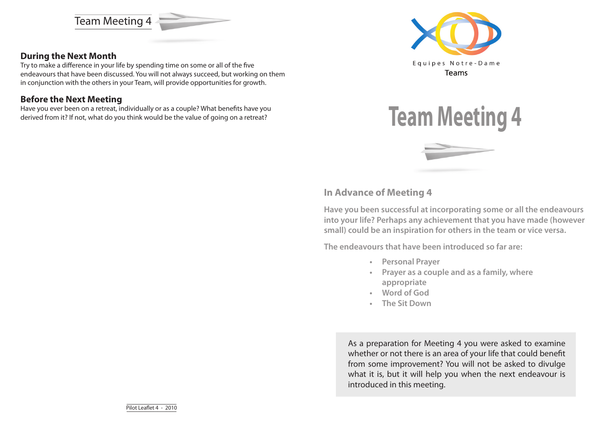Team Meeting 4



Try to make a difference in your life by spending time on some or all of the five endeavours that have been discussed. You will not always succeed, but working on them in conjunction with the others in your Team, will provide opportunities for growth.

### **Before the Next Meeting**

Have you ever been on a retreat, individually or as a couple? What benefits have you derived from it? If not, what do you think would be the value of going on a retreat?





### **In Advance of Meeting 4**

**Have you been successful at incorporating some or all the endeavours into your life? Perhaps any achievement that you have made (however small) could be an inspiration for others in the team or vice versa.** 

**The endeavours that have been introduced so far are:**

- **• Personal Prayer**
- **• Prayer as a couple and as a family, where appropriate**
- **• Word of God**
- **• The Sit Down**

As a preparation for Meeting 4 you were asked to examine whether or not there is an area of your life that could benefit from some improvement? You will not be asked to divulge what it is, but it will help you when the next endeavour is introduced in this meeting.